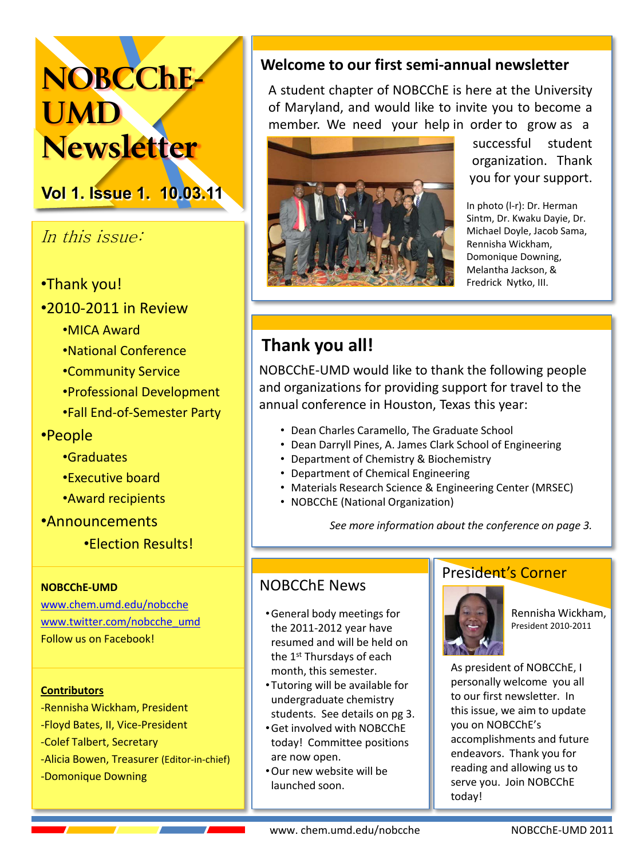# **NOBCChE-UMD Newsletter**

**Vol 1. Issue 1. 10.03.11**

# In this issue:

- •Thank you!
- •2010-2011 in Review
	- •MICA Award
	- •National!Conference
	- •Community!Service
	- •Professional!Development
	- •Fall End-of-Semester Party
- •People
	- •Graduates
	- •Executive board
	- Award recipients
- •Announcements
	- •Election Results!

#### **NOBCChE'UMD**

[www.chem.umd.edu/nobcche](http://www.chem.umd.edu/nobcche) [www.twitter.com/nobcche\\_umd](http://www.twitter.com/nobcche_umd) Follow us on Facebook!

#### **Contributors**

-Rennisha Wickham, President -Floyd Bates, II, Vice-President -Colef Talbert, Secretary -Alicia Bowen, Treasurer (Editor-in-chief) -Domonique Downing

#### Welcome to our first semi-annual newsletter

A student chapter of NOBCChE is here at the University of Maryland, and would like to invite you to become a member. We need your help in order to grow as a



successful student organization. Thank you for your support.

In photo (I-r): Dr. Herman Sintm, Dr. Kwaku Dayie, Dr. Michael Doyle, Jacob Sama, Rennisha!Wickham,! Domonique Downing, Melantha Jackson, & Fredrick Nytko, III.

# Thank you all!

NOBCChE-UMD would like to thank the following people and organizations for providing support for travel to the annual conference in Houston, Texas this year:

- Dean Charles Caramello, The Graduate School
- Dean Darryll Pines, A. James Clark School of Engineering
- Department of Chemistry & Biochemistry
- Department of Chemical Engineering
- Materials Research Science & Engineering Center (MRSEC)
- NOBCChE (National Organization)

See more information about the conference on page 3.

#### NOBCChE!News

- General body meetings for the 2011-2012 year have resumed and will be held on the 1<sup>st</sup> Thursdays of each month, this semester.
- Tutoring will be available for undergraduate chemistry students. See details on pg 3.
- Get involved with NOBCChE today! Committee positions are now open.
- . Our new website will be launched!soon.

#### President's Corner



Rennisha!Wickham, President!2010.2011

As president of NOBCChE, I personally welcome you all to our first newsletter. In this issue, we aim to update you!on!NOBCChE's accomplishments and future endeavors. Thank you for reading and allowing us to serve you. Join NOBCChE today!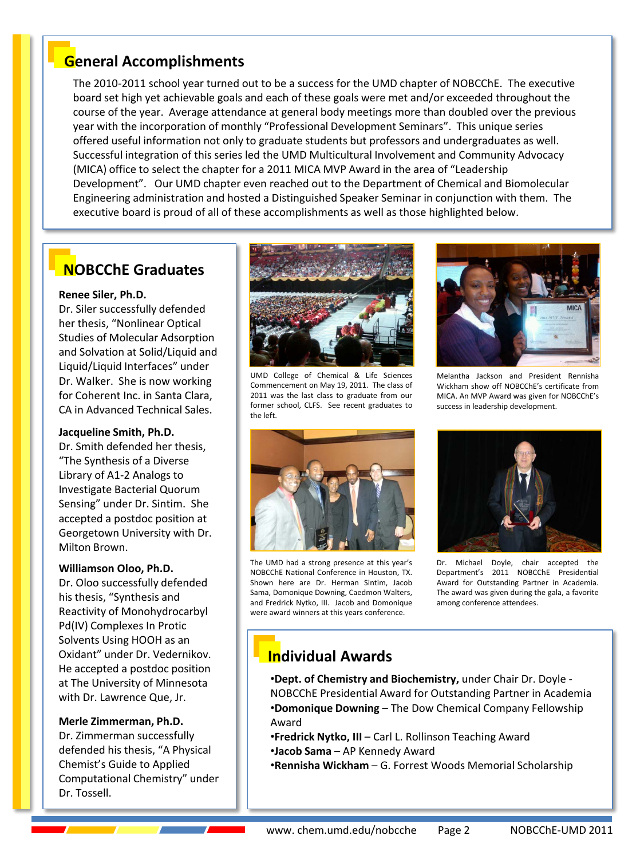### **General+Accomplishments**

The 2010-2011 school year turned out to be a success for the UMD chapter of NOBCChE. The executive board set high yet achievable goals and each of these goals were met and/or exceeded throughout the course of the year. Average attendance at general body meetings more than doubled over the previous year with the incorporation of monthly "Professional Development Seminars". This unique series offered useful information not only to graduate students but professors and undergraduates as well. Successful integration of this series led the UMD Multicultural Involvement and Community Advocacy (MICA) office to select the chapter for a 2011 MICA MVP Award in the area of "Leadership" Development". Our UMD chapter even reached out to the Department of Chemical and Biomolecular Engineering administration and hosted a Distinguished Speaker Seminar in conjunction with them. The executive board is proud of all of these accomplishments as well as those highlighted below.

#### **NOBCChE+Graduates**

#### **Renee Siler, Ph.D.**

Dr. Siler successfully defended her thesis, "Nonlinear Optical Studies of Molecular Adsorption and Solvation at Solid/Liquid and Liquid/Liquid Interfaces" under Dr. Walker. She is now working for Coherent Inc. in Santa Clara, CA in Advanced Technical Sales.

#### Jacqueline Smith, Ph.D.

Dr. Smith defended her thesis, "The Synthesis of a Diverse Library of A1-2 Analogs to Investigate Bacterial Quorum Sensing" under Dr. Sintim. She accepted a postdoc position at Georgetown University with Dr. Milton Brown.

#### **Williamson+Oloo,+Ph.D.**

Dr. Oloo successfully defended his thesis, "Synthesis and Reactivity of Monohydrocarbyl Pd(IV) Complexes In Protic Solvents Using HOOH as an Oxidant" under Dr. Vedernikov. He accepted a postdoc position at The University of Minnesota with Dr. Lawrence Que, Jr.

#### **Merle+Zimmerman,+Ph.D.**

Dr. Zimmerman successfully defended his thesis, "A Physical Chemist's Guide to Applied Computational Chemistry" under Dr. Tossell.



UMD College of Chemical & Life Sciences Commencement on May 19, 2011. The class of 2011 was the last class to graduate from our former school, CLFS. See recent graduates to the left.



The UMD had a strong presence at this year's NOBCChE National Conference in Houston, TX.!! Shown here are Dr. Herman Sintim, Jacob Sama, Domonique Downing, Caedmon Walters, and Fredrick Nytko, III. Jacob and Domonique were award winners at this years conference.



Melantha Jackson and President Rennisha Wickham show off NOBCChE's certificate from MICA. An MVP Award was given for NOBCChE's success in leadership development.



Dr. Michael Doyle, chair accepted the Department's 2011 NOBCChE Presidential Award for Outstanding Partner in Academia. The award was given during the gala, a favorite among conference attendees.

# **Individual+Awards**

•**Dept. of Chemistry and Biochemistry,** under Chair Dr. Doyle -NOBCChE Presidential Award for Outstanding Partner in Academia •**Domonique Downing** – The Dow Chemical Company Fellowship Award

- **•Fredrick Nytko, III Carl L. Rollinson Teaching Award** •**Jacob Sama** – AP Kennedy Award
- •**Rennisha Wickham** G. Forrest Woods Memorial Scholarship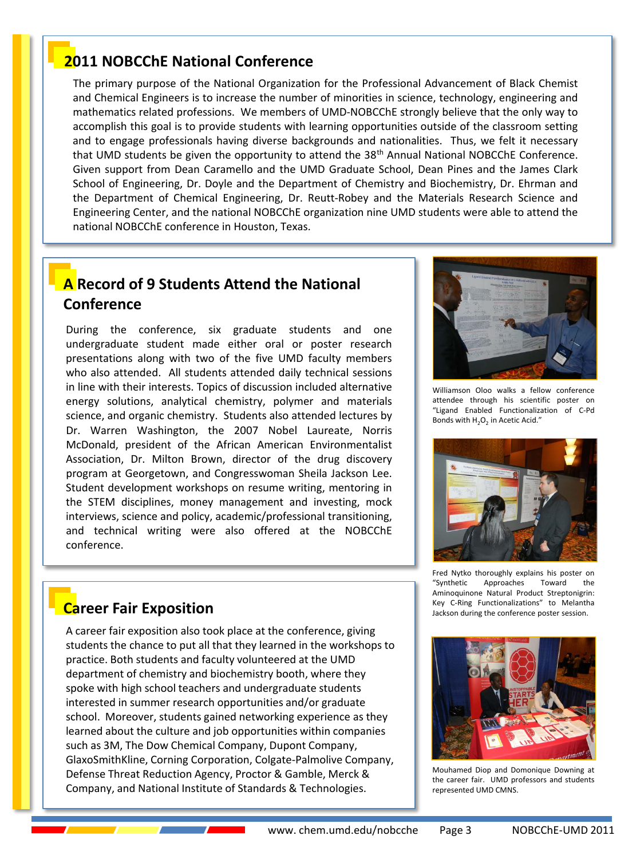#### **2011 NOBCChE National Conference**

The primary purpose of the National Organization for the Professional Advancement of Black Chemist and Chemical Engineers is to increase the number of minorities in science, technology, engineering and mathematics related professions. We members of UMD-NOBCChE strongly believe that the only way to accomplish this goal is to provide students with learning opportunities outside of the classroom setting and to engage professionals having diverse backgrounds and nationalities. Thus, we felt it necessary that UMD students be given the opportunity to attend the 38<sup>th</sup> Annual National NOBCChE Conference. Given support from Dean Caramello and the UMD Graduate School, Dean Pines and the James Clark School of Engineering, Dr. Doyle and the Department of Chemistry and Biochemistry, Dr. Ehrman and the Department of Chemical Engineering, Dr. Reutt.Robey and the Materials Research Science and Engineering Center, and the national NOBCChE organization nine UMD students were able to attend the national NOBCChE conference in Houston, Texas.

#### **A** Record of 9 Students Attend the National **Conference**

During the conference, six graduate students and one undergraduate student made either oral or poster research presentations along with two of the five UMD faculty members who also attended. All students attended daily technical sessions in line with their interests. Topics of discussion included alternative energy solutions, analytical chemistry, polymer and materials science, and organic chemistry. Students also attended lectures by Dr. Warren Washington, the 2007 Nobel Laureate, Norris McDonald, president of the African American Environmentalist Association, Dr. Milton Brown, director of the drug discovery program at Georgetown, and Congresswoman Sheila Jackson Lee. Student development workshops on resume writing, mentoring in the STEM disciplines, money management and investing, mock interviews, science and policy, academic/professional transitioning, and technical writing were also offered at the NOBCChE conference.



Williamson Oloo walks a fellow conference attendee through his scientific poster on "Ligand Enabled Functionalization of C.Pd Bonds with  $H_2O_2$  in Acetic Acid."



Fred Nytko thoroughly explains his poster on "Synthetic Approaches Toward the Aminoquinone Natural Product Streptonigrin: Key C.Ring Functionalizations" to Melantha Jackson during the conference poster session.



Mouhamed Diop and Domonique Downing at the career fair. UMD professors and students represented UMD CMNS.

#### **Career Fair Exposition**

A career fair exposition also took place at the conference, giving students the chance to put all that they learned in the workshops to practice. Both students and faculty volunteered at the UMD department of chemistry and biochemistry booth, where they spoke with high school teachers and undergraduate students interested in summer research opportunities and/or graduate school. Moreover, students gained networking experience as they learned about the culture and job opportunities within companies such as 3M, The Dow Chemical Company, Dupont Company, GlaxoSmithKline, Corning Corporation, Colgate-Palmolive Company, Defense Threat Reduction Agency, Proctor & Gamble, Merck & Company, and National Institute of Standards & Technologies.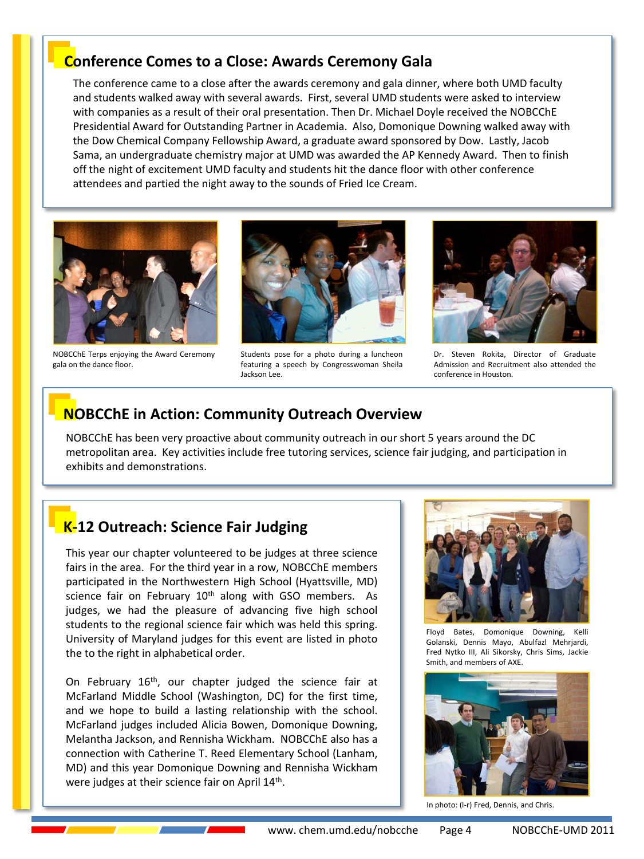#### **Conference Comes to a Close: Awards Ceremony Gala**

The conference came to a close after the awards ceremony and gala dinner, where both UMD faculty and students walked away with several awards. First, several UMD students were asked to interview with companies as a result of their oral presentation. Then Dr. Michael Doyle received the NOBCChE Presidential Award for Outstanding Partner in Academia. Also, Domonique Downing walked away with the Dow Chemical Company Fellowship Award, a graduate award sponsored by Dow. Lastly, Jacob Sama, an undergraduate chemistry major at UMD was awarded the AP Kennedy Award. Then to finish off the night of excitement UMD faculty and students hit the dance floor with other conference attendees and partied the night away to the sounds of Fried Ice Cream.



NOBCChE Terps enjoying the Award Ceremony gala on the dance floor.



Students pose for a photo during a luncheon featuring a speech by Congresswoman Sheila Jackson Lee.



Dr. Steven Rokita, Director of Graduate Admission and Recruitment also attended the conference in Houston.

#### **NOBCChE** in Action: Community Outreach Overview

NOBCChE has been very proactive about community outreach in our short 5 years around the DC metropolitan area. Key activities include free tutoring services, science fair judging, and participation in exhibits and demonstrations.

# **K-12 Outreach: Science Fair Judging**

This year our chapter volunteered to be judges at three science fairs in the area. For the third year in a row, NOBCChE members participated in the Northwestern High School (Hyattsville, MD) science fair on February 10<sup>th</sup> along with GSO members. As judges, we had the pleasure of advancing five high school students to the regional science fair which was held this spring. University of Maryland judges for this event are listed in photo the to the right in alphabetical order.

On February 16<sup>th</sup>, our chapter judged the science fair at McFarland Middle School (Washington, DC) for the first time, and we hope to build a lasting relationship with the school. McFarland judges included Alicia Bowen, Domonique Downing, Melantha Jackson, and Rennisha Wickham. NOBCChE also has a connection with Catherine T. Reed Elementary School (Lanham, MD) and this year Domonique Downing and Rennisha Wickham were judges at their science fair on April 14<sup>th</sup>.



Floyd Bates, Domonique Downing, Kelli Golanski, Dennis Mayo, Abulfazl Mehrjardi, Fred Nytko III, Ali Sikorsky, Chris Sims, Jackie Smith, and members of AXE.



In photo: (I-r) Fred, Dennis, and Chris.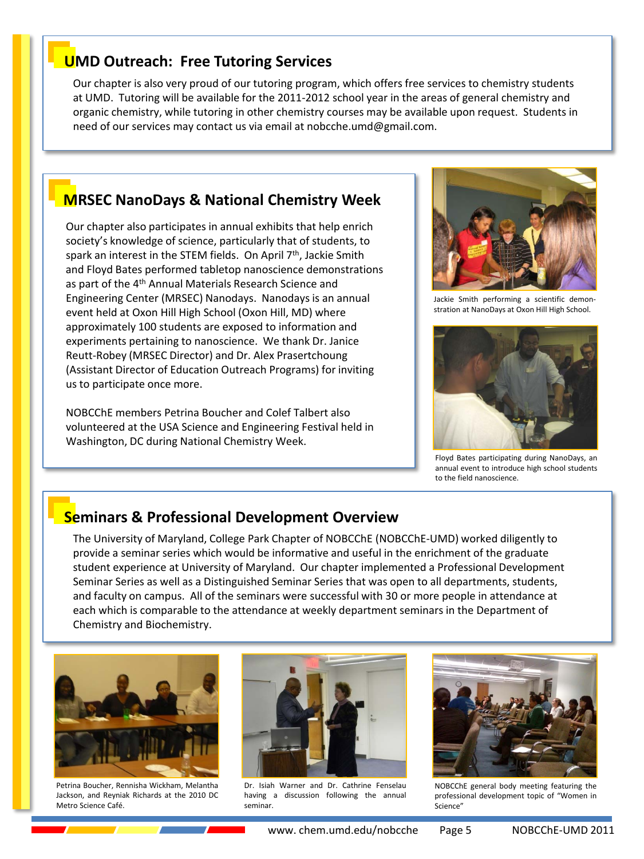#### **UMD Outreach: Free Tutoring Services**

Our chapter is also very proud of our tutoring program, which offers free services to chemistry students at UMD. Tutoring will be available for the 2011-2012 school year in the areas of general chemistry and organic chemistry, while tutoring in other chemistry courses may be available upon request. Students in need of our services may contact us via email at nobcche.umd@gmail.com.

#### **MRSEC+NanoDays &+National+Chemistry+Week**

Our chapter also participates in annual exhibits that help enrich society's knowledge of science, particularly that of students, to spark an interest in the STEM fields. On April 7<sup>th</sup>, Jackie Smith and Floyd Bates performed tabletop nanoscience demonstrations as part of the 4<sup>th</sup> Annual Materials Research Science and Engineering Center (MRSEC) Nanodays. Nanodays is an annual event held at Oxon Hill High School (Oxon Hill, MD) where approximately 100 students are exposed to information and experiments pertaining to nanoscience. We thank Dr. Janice Reutt-Robey (MRSEC Director) and Dr. Alex Prasertchoung (Assistant Director of Education Outreach Programs) for inviting us to participate once more.

NOBCChE members Petrina Boucher and Colef Talbert also volunteered at the USA Science and Engineering Festival held in Washington, DC during National Chemistry Week.



Jackie Smith performing a scientific demon. stration at NanoDays at Oxon Hill High School.



Floyd Bates participating during NanoDays, an annual event to introduce high school students to the field nanoscience.

#### **Seminars & Professional Development Overview**

The University of Maryland, College Park Chapter of NOBCChE (NOBCChE-UMD) worked diligently to provide a seminar series which would be informative and useful in the enrichment of the graduate student experience at University of Maryland. Our chapter implemented a Professional Development Seminar Series as well as a Distinguished Seminar Series that was open to all departments, students, and faculty on campus. All of the seminars were successful with 30 or more people in attendance at each which is comparable to the attendance at weekly department seminars in the Department of Chemistry and Biochemistry.



Petrina Boucher, Rennisha Wickham, Melantha Jackson, and Reyniak Richards at the 2010 DC Metro Science Café.



Dr. Isiah Warner and Dr. Cathrine Fenselau having a discussion following the annual seminar.



NOBCChE general body meeting featuring the professional development topic of "Women in Science"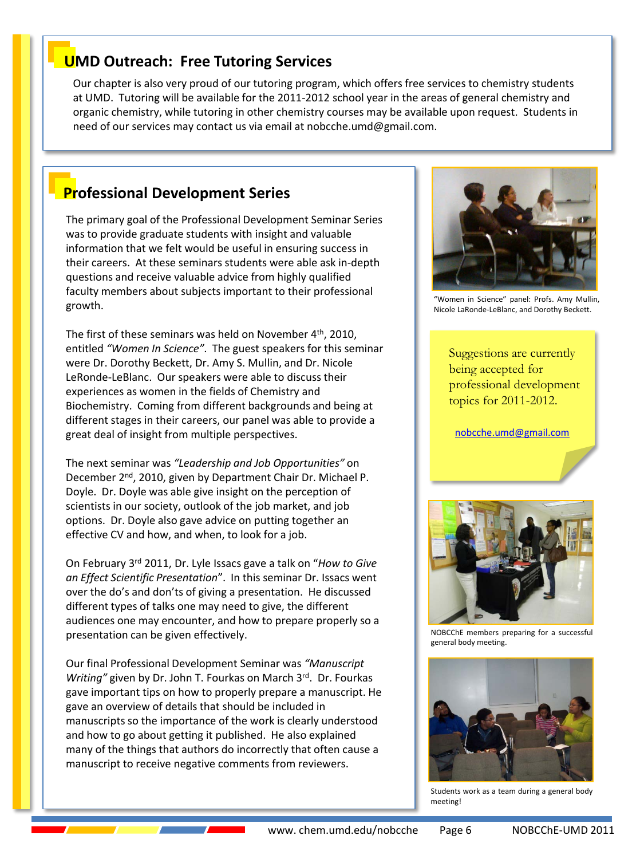#### www.chem.umd.edu/nobcche Page 6 NOBCChE-UMD 2011

# **UMD Outreach: Free Tutoring Services**

Our chapter is also very proud of our tutoring program, which offers free services to chemistry students at UMD. Tutoring will be available for the 2011-2012 school year in the areas of general chemistry and organic chemistry, while tutoring in other chemistry courses may be available upon request. Students in need of our services may contact us via email at nobcche.umd@gmail.com.

# **Professional Development Series**

The primary goal of the Professional Development Seminar Series was to provide graduate students with insight and valuable information that we felt would be useful in ensuring success in their careers. At these seminars students were able ask in-depth questions and receive valuable advice from highly qualified faculty members about subjects important to their professional growth.

The first of these seminars was held on November  $4<sup>th</sup>$ , 2010, entitled "Women In Science". The guest speakers for this seminar were Dr. Dorothy Beckett, Dr. Amy S. Mullin, and Dr. Nicole LeRonde-LeBlanc. Our speakers were able to discuss their experiences as women in the fields of Chemistry and Biochemistry. Coming from different backgrounds and being at different stages in their careers, our panel was able to provide a great deal of insight from multiple perspectives.

The next seminar was "Leadership and Job Opportunities" on December 2<sup>nd</sup>, 2010, given by Department Chair Dr. Michael P. Doyle. Dr. Doyle was able give insight on the perception of scientists in our society, outlook of the job market, and job options. Dr. Doyle also gave advice on putting together an effective CV and how, and when, to look for a job.

On February 3<sup>rd</sup> 2011, Dr. Lyle Issacs gave a talk on "*How to Give* an Effect Scientific Presentation". In this seminar Dr. Issacs went over the do's and don'ts of giving a presentation. He discussed different types of talks one may need to give, the different audiences one may encounter, and how to prepare properly so a presentation can be given effectively.

Our final Professional Development Seminar was "Manuscript" *Writing"* given by Dr. John T. Fourkas on March 3rd. Dr. Fourkas gave important tips on how to properly prepare a manuscript. He gave an overview of details that should be included in manuscripts so the importance of the work is clearly understood and how to go about getting it published. He also explained many of the things that authors do incorrectly that often cause a manuscript to receive negative comments from reviewers.

"Women in Science" panel: Profs. Amy Mullin, Nicole LaRonde.LeBlanc, and Dorothy Beckett.

Suggestions are currently being accepted for professional development topics for 2011-2012.

[nobcche.umd@gmail.com](mailto:nobcche.umd@gmail.com)

NOBCChE members preparing for a successful general body meeting.



Students work as a team during a general body

meeting!



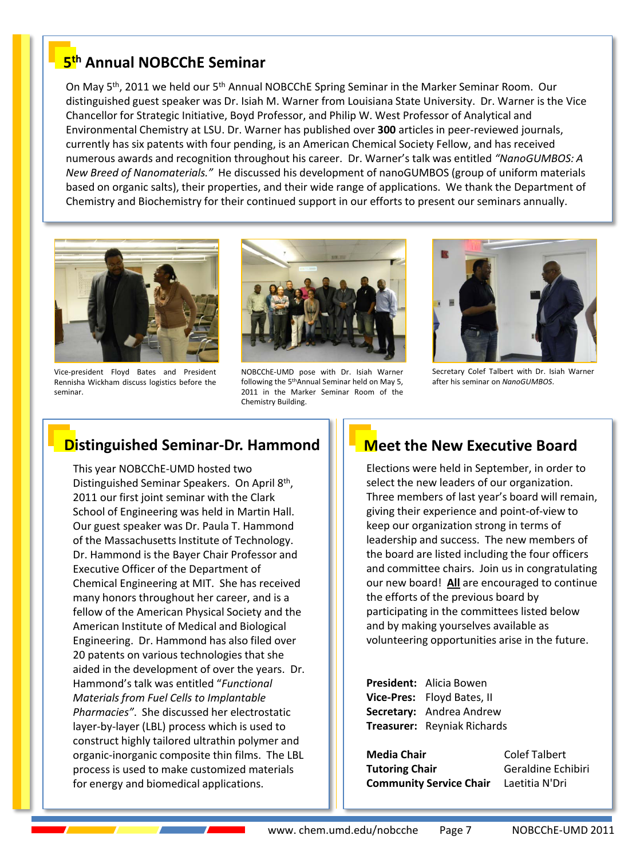#### **5th Annual+NOBCChE+Seminar**

On May 5<sup>th</sup>, 2011 we held our 5<sup>th</sup> Annual NOBCChE Spring Seminar in the Marker Seminar Room. Our distinguished guest speaker was Dr. Isiah M. Warner from Louisiana State University. Dr. Warner is the Vice Chancellor for Strategic Initiative, Boyd Professor, and Philip W. West Professor of Analytical and Environmental Chemistry at LSU. Dr. Warner has published over 300 articles in peer-reviewed journals, currently has six patents with four pending, is an American Chemical Society Fellow, and has received numerous awards and recognition throughout his career. Dr. Warner's talk was entitled "NanoGUMBOS: A *New Breed of Nanomaterials."* He discussed his development of nanoGUMBOS (group of uniform materials based on organic salts), their properties, and their wide range of applications. We thank the Department of Chemistry and Biochemistry for their continued support in our efforts to present our seminars annually.



Vice.president Floyd Bates and President Rennisha Wickham discuss logistics before the seminar.



NOBCChE.UMD pose with Dr. Isiah Warner following the 5thAnnual Seminar held on May 5, 2011 in the Marker Seminar Room of the Chemistry Building.



Secretary Colef Talbert with Dr. Isiah Warner after his seminar on *NanoGUMBOS*.

#### **Distinguished Seminar-Dr. Hammond**

This year NOBCChE-UMD hosted two Distinguished Seminar Speakers. On April 8th, 2011 our first joint seminar with the Clark School of Engineering was held in Martin Hall. Our guest speaker was Dr. Paula T. Hammond of the Massachusetts Institute of Technology. Dr. Hammond is the Bayer Chair Professor and Executive Officer of the Department of Chemical Engineering at MIT. She has received many honors throughout her career, and is a fellow of the American Physical Society and the American Institute of Medical and Biological Engineering. Dr. Hammond has also filed over 20 patents on various technologies that she aided in the development of over the years. Dr. Hammond's talk was entitled "*Functional Materials from Fuel Cells to Implantable* Pharmacies". She discussed her electrostatic layer-by-layer (LBL) process which is used to construct highly tailored ultrathin polymer and organic-inorganic composite thin films. The LBL process is used to make customized materials for energy and biomedical applications.

#### **Meet the New Executive Board**

Elections were held in September, in order to select the new leaders of our organization. Three members of last year's board will remain, giving their experience and point-of-view to keep our organization strong in terms of leadership and success. The new members of the board are listed including the four officers and committee chairs. Join us in congratulating our new board! All are encouraged to continue the efforts of the previous board by participating in the committees listed below and by making yourselves available as volunteering opportunities arise in the future.

**President:** Alicia Bowen **Vice-Pres:** Floyd Bates, II **Secretary:** Andrea Andrew **Treasurer:** Reyniak Richards

**Media Chair**Colef Talbert **Tutoring Chair Chair** Geraldine Echibiri **Community Service Chair** Laetitia N'Dri